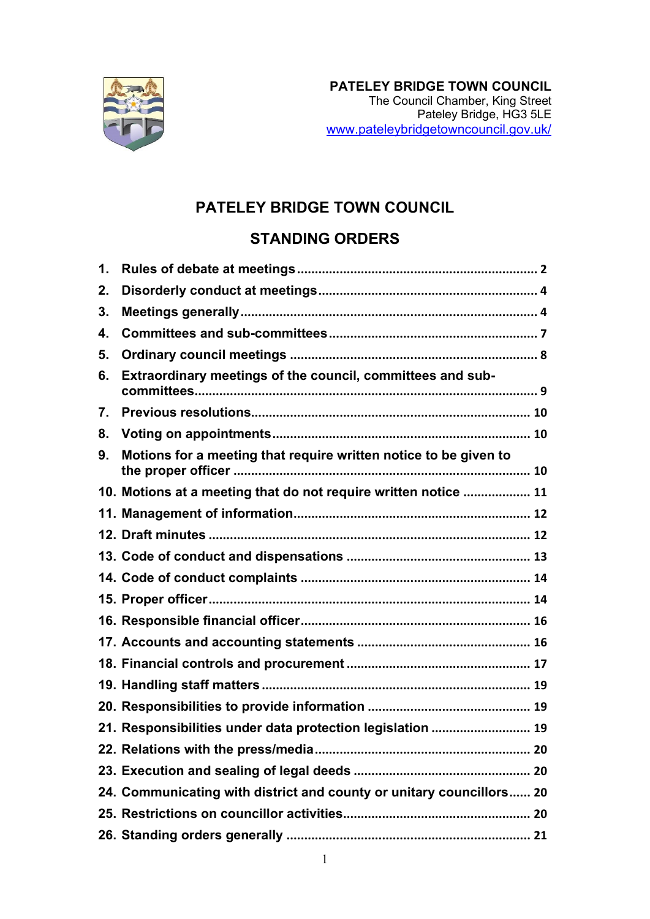

## **PATELEY BRIDGE TOWN COUNCIL**

# **STANDING ORDERS**

| 1. |                                                                      |
|----|----------------------------------------------------------------------|
| 2. |                                                                      |
| 3. |                                                                      |
| 4. |                                                                      |
| 5. |                                                                      |
| 6. | Extraordinary meetings of the council, committees and sub-           |
| 7. |                                                                      |
| 8. |                                                                      |
| 9. | Motions for a meeting that require written notice to be given to     |
|    | 10. Motions at a meeting that do not require written notice  11      |
|    |                                                                      |
|    |                                                                      |
|    |                                                                      |
|    |                                                                      |
|    |                                                                      |
|    |                                                                      |
|    |                                                                      |
|    |                                                                      |
|    |                                                                      |
|    |                                                                      |
|    | 21. Responsibilities under data protection legislation  19           |
|    |                                                                      |
|    |                                                                      |
|    | 24. Communicating with district and county or unitary councillors 20 |
|    |                                                                      |
|    |                                                                      |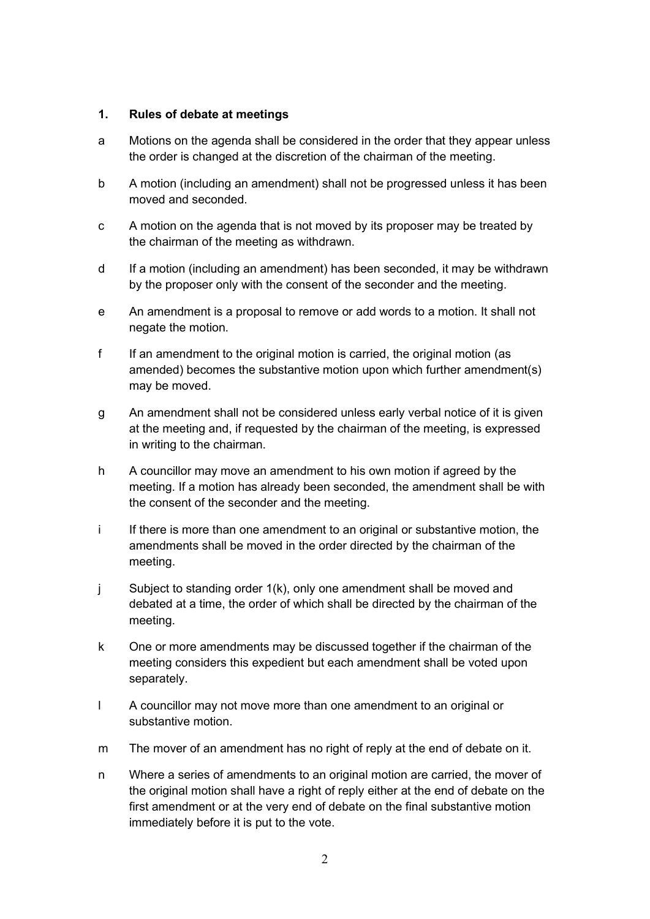#### <span id="page-1-0"></span>**1. Rules of debate at meetings**

- a Motions on the agenda shall be considered in the order that they appear unless the order is changed at the discretion of the chairman of the meeting.
- b A motion (including an amendment) shall not be progressed unless it has been moved and seconded.
- c A motion on the agenda that is not moved by its proposer may be treated by the chairman of the meeting as withdrawn.
- d If a motion (including an amendment) has been seconded, it may be withdrawn by the proposer only with the consent of the seconder and the meeting.
- e An amendment is a proposal to remove or add words to a motion. It shall not negate the motion.
- f If an amendment to the original motion is carried, the original motion (as amended) becomes the substantive motion upon which further amendment(s) may be moved.
- g An amendment shall not be considered unless early verbal notice of it is given at the meeting and, if requested by the chairman of the meeting, is expressed in writing to the chairman.
- h A councillor may move an amendment to his own motion if agreed by the meeting. If a motion has already been seconded, the amendment shall be with the consent of the seconder and the meeting.
- i If there is more than one amendment to an original or substantive motion, the amendments shall be moved in the order directed by the chairman of the meeting.
- j Subject to standing order 1(k), only one amendment shall be moved and debated at a time, the order of which shall be directed by the chairman of the meeting.
- k One or more amendments may be discussed together if the chairman of the meeting considers this expedient but each amendment shall be voted upon separately.
- l A councillor may not move more than one amendment to an original or substantive motion.
- m The mover of an amendment has no right of reply at the end of debate on it.
- n Where a series of amendments to an original motion are carried, the mover of the original motion shall have a right of reply either at the end of debate on the first amendment or at the very end of debate on the final substantive motion immediately before it is put to the vote.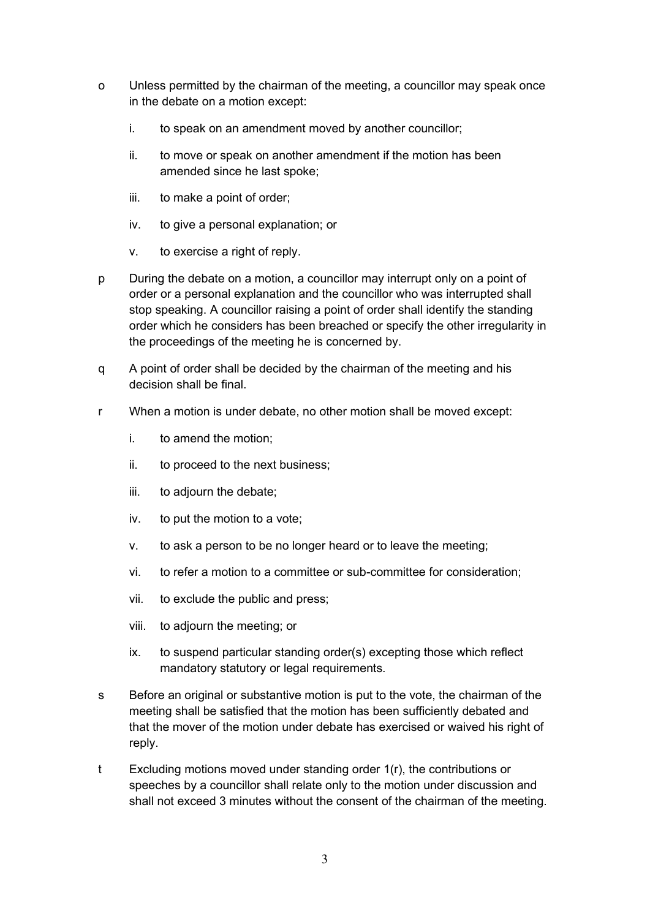- o Unless permitted by the chairman of the meeting, a councillor may speak once in the debate on a motion except:
	- i. to speak on an amendment moved by another councillor;
	- ii. to move or speak on another amendment if the motion has been amended since he last spoke;
	- iii. to make a point of order;
	- iv. to give a personal explanation; or
	- v. to exercise a right of reply.
- p During the debate on a motion, a councillor may interrupt only on a point of order or a personal explanation and the councillor who was interrupted shall stop speaking. A councillor raising a point of order shall identify the standing order which he considers has been breached or specify the other irregularity in the proceedings of the meeting he is concerned by.
- q A point of order shall be decided by the chairman of the meeting and his decision shall be final.
- r When a motion is under debate, no other motion shall be moved except:
	- i. to amend the motion;
	- ii. to proceed to the next business;
	- iii. to adjourn the debate;
	- iv. to put the motion to a vote;
	- v. to ask a person to be no longer heard or to leave the meeting;
	- vi. to refer a motion to a committee or sub-committee for consideration;
	- vii. to exclude the public and press;
	- viii. to adjourn the meeting; or
	- ix. to suspend particular standing order(s) excepting those which reflect mandatory statutory or legal requirements.
- s Before an original or substantive motion is put to the vote, the chairman of the meeting shall be satisfied that the motion has been sufficiently debated and that the mover of the motion under debate has exercised or waived his right of reply.
- t Excluding motions moved under standing order 1(r), the contributions or speeches by a councillor shall relate only to the motion under discussion and shall not exceed 3 minutes without the consent of the chairman of the meeting.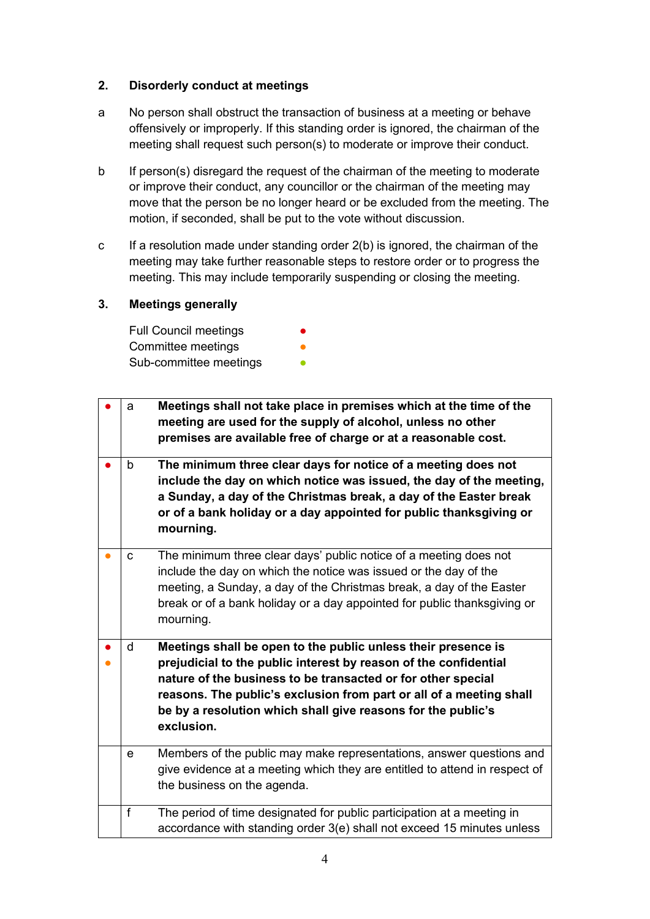## <span id="page-3-0"></span>**2. Disorderly conduct at meetings**

- a No person shall obstruct the transaction of business at a meeting or behave offensively or improperly. If this standing order is ignored, the chairman of the meeting shall request such person(s) to moderate or improve their conduct.
- b If person(s) disregard the request of the chairman of the meeting to moderate or improve their conduct, any councillor or the chairman of the meeting may move that the person be no longer heard or be excluded from the meeting. The motion, if seconded, shall be put to the vote without discussion.
- c If a resolution made under standing order 2(b) is ignored, the chairman of the meeting may take further reasonable steps to restore order or to progress the meeting. This may include temporarily suspending or closing the meeting.

### <span id="page-3-1"></span>**3. Meetings generally**

| <b>Full Council meetings</b> |  |
|------------------------------|--|
| Committee meetings           |  |
| Sub-committee meetings       |  |

| a            | Meetings shall not take place in premises which at the time of the<br>meeting are used for the supply of alcohol, unless no other<br>premises are available free of charge or at a reasonable cost.                                                                                                                                                    |
|--------------|--------------------------------------------------------------------------------------------------------------------------------------------------------------------------------------------------------------------------------------------------------------------------------------------------------------------------------------------------------|
| b            | The minimum three clear days for notice of a meeting does not<br>include the day on which notice was issued, the day of the meeting,<br>a Sunday, a day of the Christmas break, a day of the Easter break<br>or of a bank holiday or a day appointed for public thanksgiving or<br>mourning.                                                           |
| C            | The minimum three clear days' public notice of a meeting does not<br>include the day on which the notice was issued or the day of the<br>meeting, a Sunday, a day of the Christmas break, a day of the Easter<br>break or of a bank holiday or a day appointed for public thanksgiving or<br>mourning.                                                 |
| $\mathsf{d}$ | Meetings shall be open to the public unless their presence is<br>prejudicial to the public interest by reason of the confidential<br>nature of the business to be transacted or for other special<br>reasons. The public's exclusion from part or all of a meeting shall<br>be by a resolution which shall give reasons for the public's<br>exclusion. |
| e            | Members of the public may make representations, answer questions and<br>give evidence at a meeting which they are entitled to attend in respect of<br>the business on the agenda.                                                                                                                                                                      |
| f            | The period of time designated for public participation at a meeting in<br>accordance with standing order 3(e) shall not exceed 15 minutes unless                                                                                                                                                                                                       |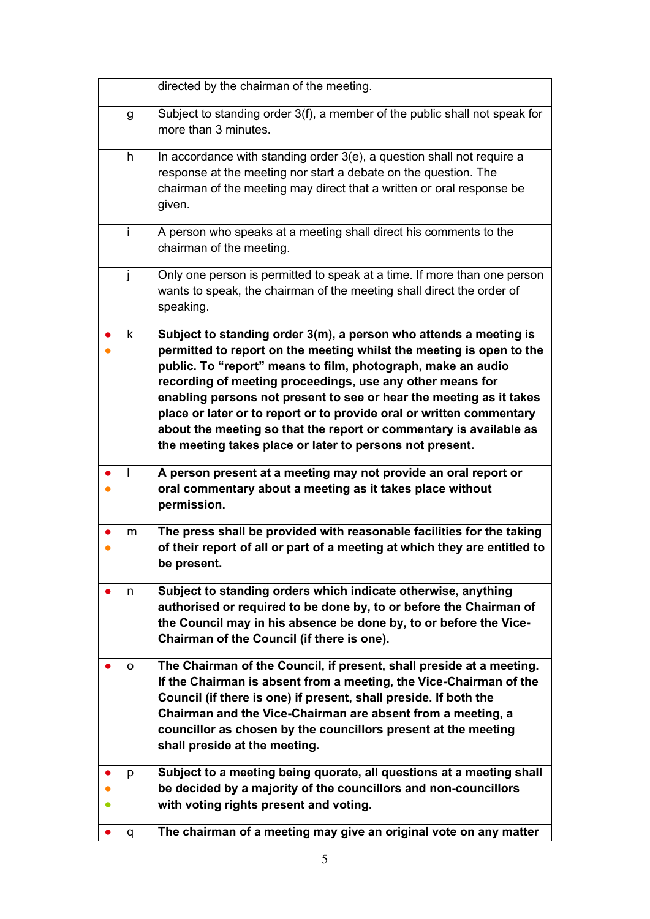|           |    | directed by the chairman of the meeting.                                                                                                                                                                                                                                                                                                                                                                                                                                                                                                                |
|-----------|----|---------------------------------------------------------------------------------------------------------------------------------------------------------------------------------------------------------------------------------------------------------------------------------------------------------------------------------------------------------------------------------------------------------------------------------------------------------------------------------------------------------------------------------------------------------|
|           | g  | Subject to standing order 3(f), a member of the public shall not speak for<br>more than 3 minutes.                                                                                                                                                                                                                                                                                                                                                                                                                                                      |
|           | h. | In accordance with standing order 3(e), a question shall not require a<br>response at the meeting nor start a debate on the question. The<br>chairman of the meeting may direct that a written or oral response be<br>given.                                                                                                                                                                                                                                                                                                                            |
|           | Ť  | A person who speaks at a meeting shall direct his comments to the<br>chairman of the meeting.                                                                                                                                                                                                                                                                                                                                                                                                                                                           |
|           | j  | Only one person is permitted to speak at a time. If more than one person<br>wants to speak, the chairman of the meeting shall direct the order of<br>speaking.                                                                                                                                                                                                                                                                                                                                                                                          |
|           | k  | Subject to standing order 3(m), a person who attends a meeting is<br>permitted to report on the meeting whilst the meeting is open to the<br>public. To "report" means to film, photograph, make an audio<br>recording of meeting proceedings, use any other means for<br>enabling persons not present to see or hear the meeting as it takes<br>place or later or to report or to provide oral or written commentary<br>about the meeting so that the report or commentary is available as<br>the meeting takes place or later to persons not present. |
|           |    | A person present at a meeting may not provide an oral report or<br>oral commentary about a meeting as it takes place without<br>permission.                                                                                                                                                                                                                                                                                                                                                                                                             |
| $\bullet$ | m  | The press shall be provided with reasonable facilities for the taking<br>of their report of all or part of a meeting at which they are entitled to<br>be present.                                                                                                                                                                                                                                                                                                                                                                                       |
|           | n  | Subject to standing orders which indicate otherwise, anything<br>authorised or required to be done by, to or before the Chairman of<br>the Council may in his absence be done by, to or before the Vice-<br>Chairman of the Council (if there is one).                                                                                                                                                                                                                                                                                                  |
|           | о  | The Chairman of the Council, if present, shall preside at a meeting.<br>If the Chairman is absent from a meeting, the Vice-Chairman of the<br>Council (if there is one) if present, shall preside. If both the<br>Chairman and the Vice-Chairman are absent from a meeting, a<br>councillor as chosen by the councillors present at the meeting<br>shall preside at the meeting.                                                                                                                                                                        |
|           | p  | Subject to a meeting being quorate, all questions at a meeting shall<br>be decided by a majority of the councillors and non-councillors<br>with voting rights present and voting.                                                                                                                                                                                                                                                                                                                                                                       |
|           | q  | The chairman of a meeting may give an original vote on any matter                                                                                                                                                                                                                                                                                                                                                                                                                                                                                       |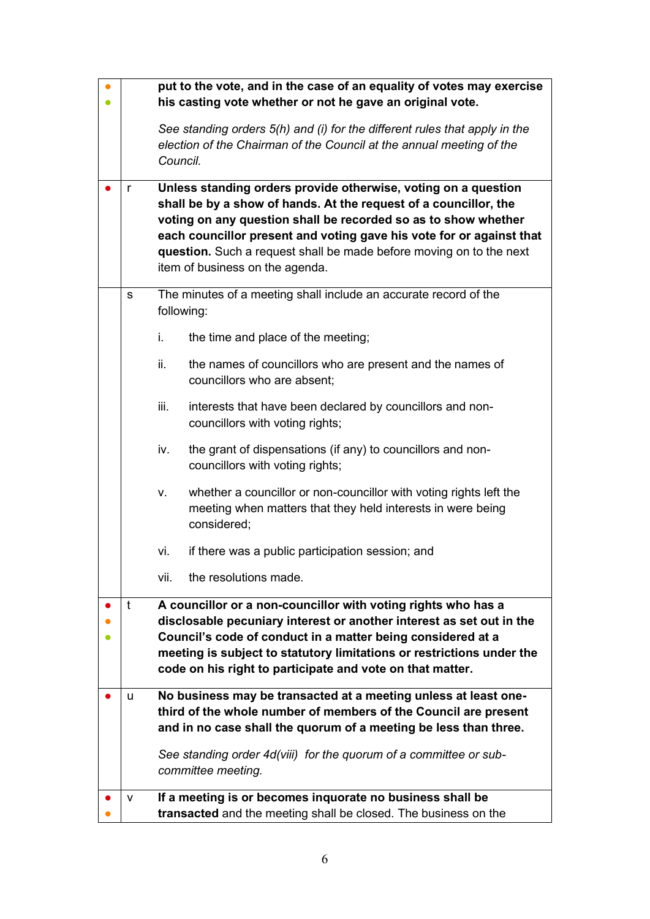|   | put to the vote, and in the case of an equality of votes may exercise          |                                                                                                                                                  |  |  |
|---|--------------------------------------------------------------------------------|--------------------------------------------------------------------------------------------------------------------------------------------------|--|--|
|   | his casting vote whether or not he gave an original vote.                      |                                                                                                                                                  |  |  |
|   |                                                                                | See standing orders 5(h) and (i) for the different rules that apply in the                                                                       |  |  |
|   | Council.                                                                       | election of the Chairman of the Council at the annual meeting of the                                                                             |  |  |
|   |                                                                                |                                                                                                                                                  |  |  |
| r |                                                                                | Unless standing orders provide otherwise, voting on a question<br>shall be by a show of hands. At the request of a councillor, the               |  |  |
|   |                                                                                | voting on any question shall be recorded so as to show whether                                                                                   |  |  |
|   | each councillor present and voting gave his vote for or against that           |                                                                                                                                                  |  |  |
|   |                                                                                | question. Such a request shall be made before moving on to the next<br>item of business on the agenda.                                           |  |  |
|   |                                                                                |                                                                                                                                                  |  |  |
| s | The minutes of a meeting shall include an accurate record of the<br>following: |                                                                                                                                                  |  |  |
|   |                                                                                |                                                                                                                                                  |  |  |
|   | i.                                                                             | the time and place of the meeting;                                                                                                               |  |  |
|   | ii.                                                                            | the names of councillors who are present and the names of<br>councillors who are absent;                                                         |  |  |
|   |                                                                                |                                                                                                                                                  |  |  |
|   | iii.                                                                           | interests that have been declared by councillors and non-<br>councillors with voting rights;                                                     |  |  |
|   | iv.                                                                            | the grant of dispensations (if any) to councillors and non-<br>councillors with voting rights;                                                   |  |  |
|   | V.                                                                             | whether a councillor or non-councillor with voting rights left the<br>meeting when matters that they held interests in were being<br>considered; |  |  |
|   | vi.                                                                            | if there was a public participation session; and                                                                                                 |  |  |
|   | vii.                                                                           | the resolutions made.                                                                                                                            |  |  |
| t |                                                                                | A councillor or a non-councillor with voting rights who has a                                                                                    |  |  |
|   |                                                                                | disclosable pecuniary interest or another interest as set out in the<br>Council's code of conduct in a matter being considered at a              |  |  |
|   |                                                                                | meeting is subject to statutory limitations or restrictions under the                                                                            |  |  |
|   |                                                                                | code on his right to participate and vote on that matter.                                                                                        |  |  |
| u |                                                                                | No business may be transacted at a meeting unless at least one-                                                                                  |  |  |
|   |                                                                                | third of the whole number of members of the Council are present                                                                                  |  |  |
|   |                                                                                | and in no case shall the quorum of a meeting be less than three.                                                                                 |  |  |
|   |                                                                                | See standing order 4d(viii) for the quorum of a committee or sub-                                                                                |  |  |
|   | committee meeting.                                                             |                                                                                                                                                  |  |  |
| v |                                                                                | If a meeting is or becomes inquorate no business shall be                                                                                        |  |  |
|   |                                                                                | transacted and the meeting shall be closed. The business on the                                                                                  |  |  |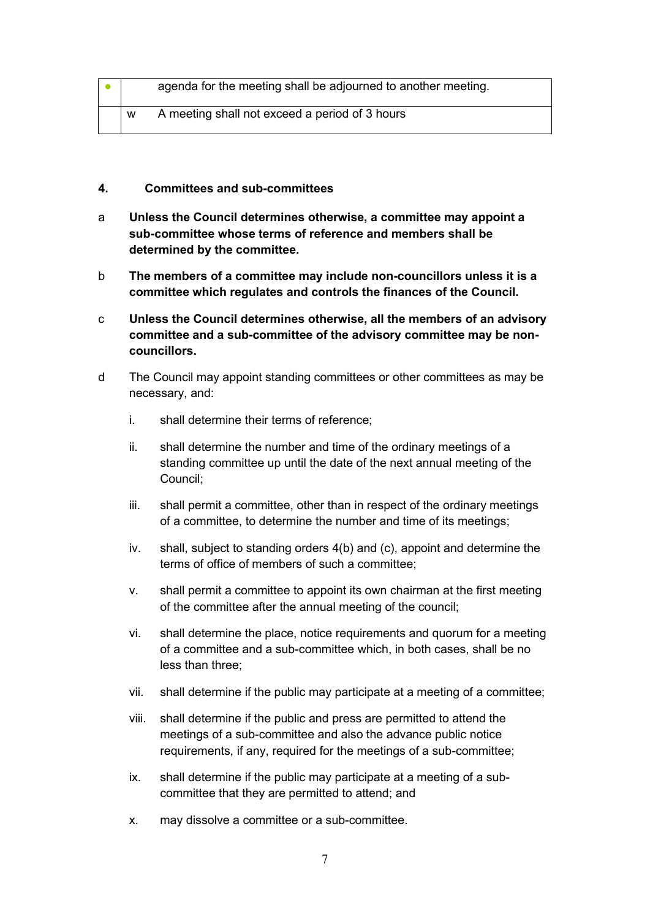|   | agenda for the meeting shall be adjourned to another meeting. |
|---|---------------------------------------------------------------|
| W | A meeting shall not exceed a period of 3 hours                |

- <span id="page-6-0"></span>**4. Committees and sub-committees**
- a **Unless the Council determines otherwise, a committee may appoint a sub-committee whose terms of reference and members shall be determined by the committee.**
- b **The members of a committee may include non-councillors unless it is a committee which regulates and controls the finances of the Council.**
- c **Unless the Council determines otherwise, all the members of an advisory committee and a sub-committee of the advisory committee may be noncouncillors.**
- d The Council may appoint standing committees or other committees as may be necessary, and:
	- i. shall determine their terms of reference;
	- ii. shall determine the number and time of the ordinary meetings of a standing committee up until the date of the next annual meeting of the Council;
	- iii. shall permit a committee, other than in respect of the ordinary meetings of a committee, to determine the number and time of its meetings;
	- iv. shall, subject to standing orders 4(b) and (c), appoint and determine the terms of office of members of such a committee;
	- v. shall permit a committee to appoint its own chairman at the first meeting of the committee after the annual meeting of the council;
	- vi. shall determine the place, notice requirements and quorum for a meeting of a committee and a sub-committee which, in both cases, shall be no less than three;
	- vii. shall determine if the public may participate at a meeting of a committee;
	- viii. shall determine if the public and press are permitted to attend the meetings of a sub-committee and also the advance public notice requirements, if any, required for the meetings of a sub-committee;
	- ix. shall determine if the public may participate at a meeting of a subcommittee that they are permitted to attend; and
	- x. may dissolve a committee or a sub-committee.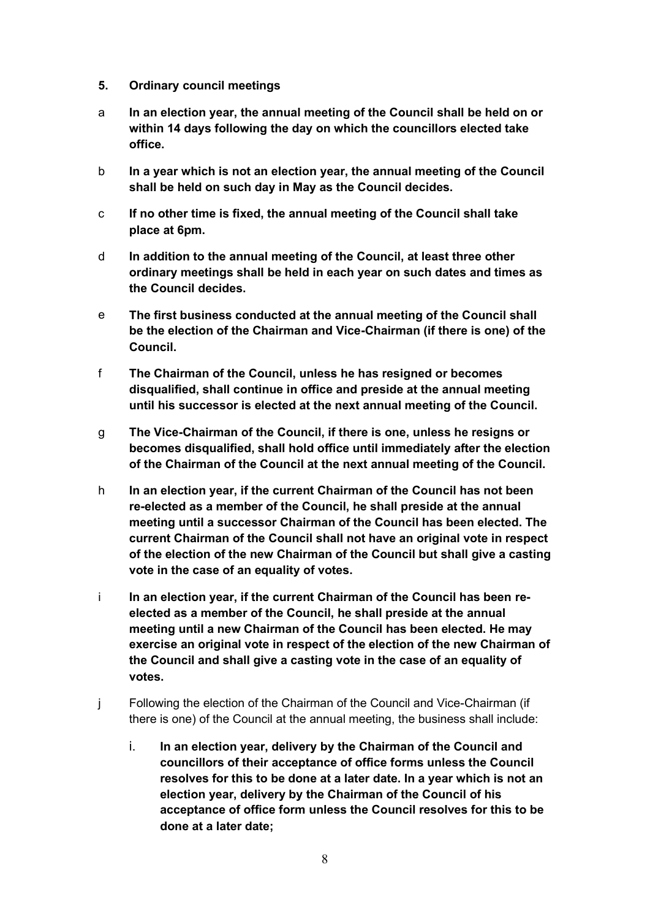- <span id="page-7-0"></span>**5. Ordinary council meetings**
- a **In an election year, the annual meeting of the Council shall be held on or within 14 days following the day on which the councillors elected take office.**
- b **In a year which is not an election year, the annual meeting of the Council shall be held on such day in May as the Council decides.**
- c **If no other time is fixed, the annual meeting of the Council shall take place at 6pm.**
- d **In addition to the annual meeting of the Council, at least three other ordinary meetings shall be held in each year on such dates and times as the Council decides.**
- e **The first business conducted at the annual meeting of the Council shall be the election of the Chairman and Vice-Chairman (if there is one) of the Council.**
- f **The Chairman of the Council, unless he has resigned or becomes disqualified, shall continue in office and preside at the annual meeting until his successor is elected at the next annual meeting of the Council.**
- g **The Vice-Chairman of the Council, if there is one, unless he resigns or becomes disqualified, shall hold office until immediately after the election of the Chairman of the Council at the next annual meeting of the Council.**
- h **In an election year, if the current Chairman of the Council has not been re-elected as a member of the Council, he shall preside at the annual meeting until a successor Chairman of the Council has been elected. The current Chairman of the Council shall not have an original vote in respect of the election of the new Chairman of the Council but shall give a casting vote in the case of an equality of votes.**
- i **In an election year, if the current Chairman of the Council has been reelected as a member of the Council, he shall preside at the annual meeting until a new Chairman of the Council has been elected. He may exercise an original vote in respect of the election of the new Chairman of the Council and shall give a casting vote in the case of an equality of votes.**
- j Following the election of the Chairman of the Council and Vice-Chairman (if there is one) of the Council at the annual meeting, the business shall include:
	- i. **In an election year, delivery by the Chairman of the Council and councillors of their acceptance of office forms unless the Council resolves for this to be done at a later date. In a year which is not an election year, delivery by the Chairman of the Council of his acceptance of office form unless the Council resolves for this to be done at a later date;**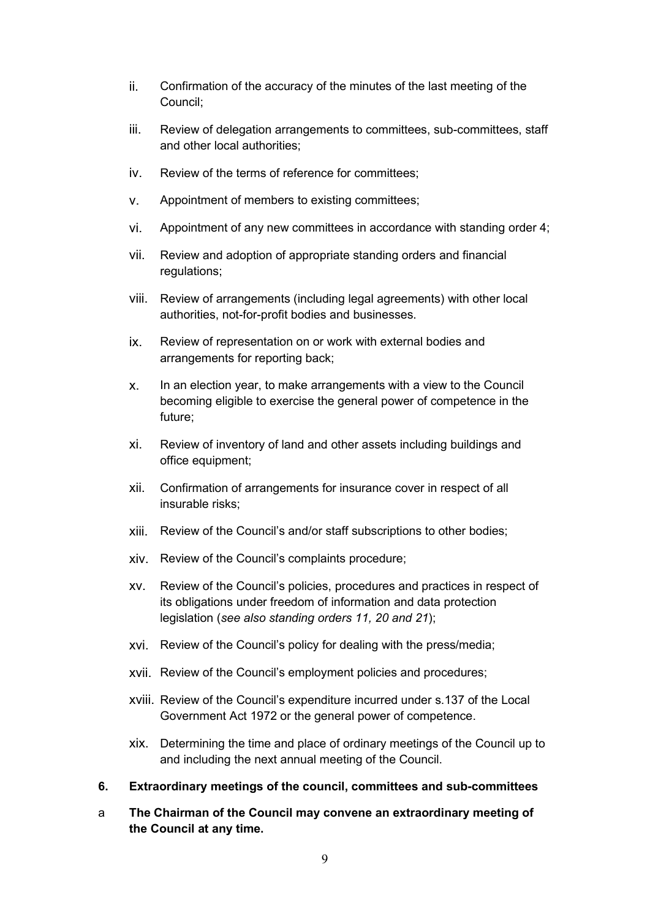- ii. Confirmation of the accuracy of the minutes of the last meeting of the Council;
- iii. Review of delegation arrangements to committees, sub-committees, staff and other local authorities;
- iv. Review of the terms of reference for committees;
- v. Appointment of members to existing committees;
- vi. Appointment of any new committees in accordance with standing order 4;
- vii. Review and adoption of appropriate standing orders and financial regulations;
- viii. Review of arrangements (including legal agreements) with other local authorities, not-for-profit bodies and businesses.
- ix. Review of representation on or work with external bodies and arrangements for reporting back;
- x. In an election year, to make arrangements with a view to the Council becoming eligible to exercise the general power of competence in the future;
- xi. Review of inventory of land and other assets including buildings and office equipment;
- xii. Confirmation of arrangements for insurance cover in respect of all insurable risks;
- xiii. Review of the Council's and/or staff subscriptions to other bodies;
- xiv. Review of the Council's complaints procedure;
- xv. Review of the Council's policies, procedures and practices in respect of its obligations under freedom of information and data protection legislation (*see also standing orders 11, 20 and 21*);
- xvi. Review of the Council's policy for dealing with the press/media;
- xvii. Review of the Council's employment policies and procedures;
- xviii. Review of the Council's expenditure incurred under s.137 of the Local Government Act 1972 or the general power of competence.
- xix. Determining the time and place of ordinary meetings of the Council up to and including the next annual meeting of the Council.
- <span id="page-8-0"></span>**6. Extraordinary meetings of the council, committees and sub-committees**
- a **The Chairman of the Council may convene an extraordinary meeting of the Council at any time.**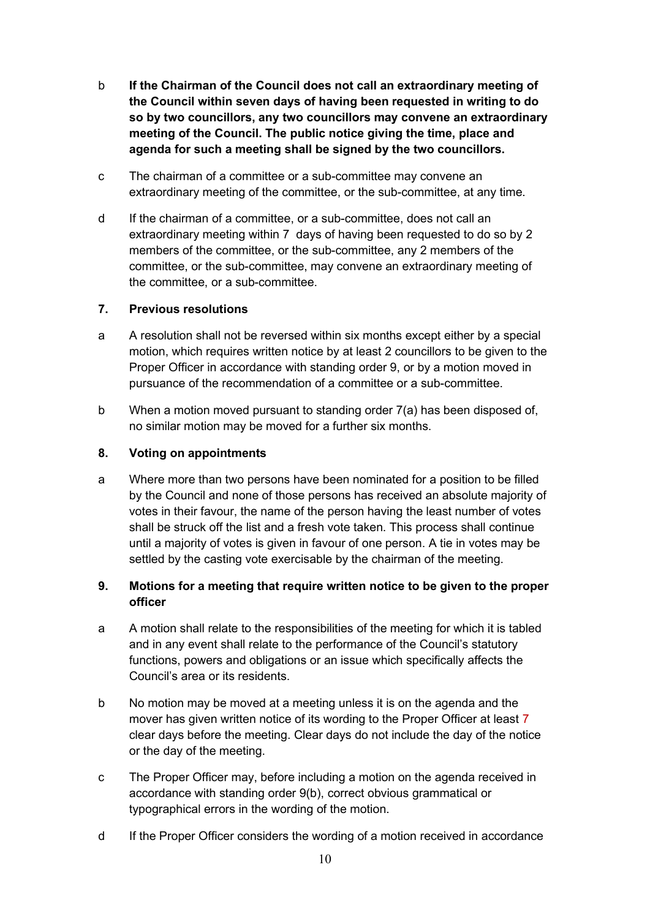- b **If the Chairman of the Council does not call an extraordinary meeting of the Council within seven days of having been requested in writing to do so by two councillors, any two councillors may convene an extraordinary meeting of the Council. The public notice giving the time, place and agenda for such a meeting shall be signed by the two councillors.**
- c The chairman of a committee or a sub-committee may convene an extraordinary meeting of the committee, or the sub-committee, at any time.
- d If the chairman of a committee, or a sub-committee, does not call an extraordinary meeting within 7 days of having been requested to do so by 2 members of the committee, or the sub-committee, any 2 members of the committee, or the sub-committee, may convene an extraordinary meeting of the committee, or a sub-committee.

#### <span id="page-9-0"></span>**7. Previous resolutions**

- a A resolution shall not be reversed within six months except either by a special motion, which requires written notice by at least 2 councillors to be given to the Proper Officer in accordance with standing order 9, or by a motion moved in pursuance of the recommendation of a committee or a sub-committee.
- b When a motion moved pursuant to standing order 7(a) has been disposed of, no similar motion may be moved for a further six months.

### <span id="page-9-1"></span>**8. Voting on appointments**

a Where more than two persons have been nominated for a position to be filled by the Council and none of those persons has received an absolute majority of votes in their favour, the name of the person having the least number of votes shall be struck off the list and a fresh vote taken. This process shall continue until a majority of votes is given in favour of one person. A tie in votes may be settled by the casting vote exercisable by the chairman of the meeting.

## <span id="page-9-2"></span>**9. Motions for a meeting that require written notice to be given to the proper officer**

- a A motion shall relate to the responsibilities of the meeting for which it is tabled and in any event shall relate to the performance of the Council's statutory functions, powers and obligations or an issue which specifically affects the Council's area or its residents.
- b No motion may be moved at a meeting unless it is on the agenda and the mover has given written notice of its wording to the Proper Officer at least 7 clear days before the meeting. Clear days do not include the day of the notice or the day of the meeting.
- c The Proper Officer may, before including a motion on the agenda received in accordance with standing order 9(b), correct obvious grammatical or typographical errors in the wording of the motion.
- d If the Proper Officer considers the wording of a motion received in accordance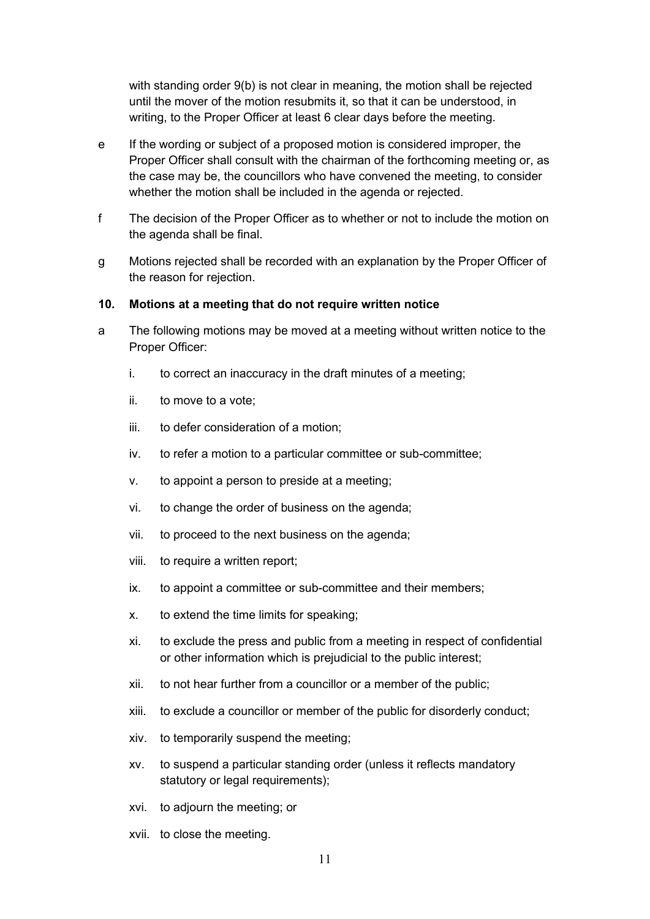with standing order 9(b) is not clear in meaning, the motion shall be rejected until the mover of the motion resubmits it, so that it can be understood, in writing, to the Proper Officer at least 6 clear days before the meeting.

- e If the wording or subject of a proposed motion is considered improper, the Proper Officer shall consult with the chairman of the forthcoming meeting or, as the case may be, the councillors who have convened the meeting, to consider whether the motion shall be included in the agenda or rejected.
- f The decision of the Proper Officer as to whether or not to include the motion on the agenda shall be final.
- g Motions rejected shall be recorded with an explanation by the Proper Officer of the reason for rejection.

#### <span id="page-10-0"></span>**10. Motions at a meeting that do not require written notice**

- a The following motions may be moved at a meeting without written notice to the Proper Officer:
	- i. to correct an inaccuracy in the draft minutes of a meeting;
	- ii. to move to a vote;
	- iii. to defer consideration of a motion;
	- iv. to refer a motion to a particular committee or sub-committee;
	- v. to appoint a person to preside at a meeting;
	- vi. to change the order of business on the agenda;
	- vii. to proceed to the next business on the agenda;
	- viii. to require a written report;
	- ix. to appoint a committee or sub-committee and their members;
	- x. to extend the time limits for speaking;
	- xi. to exclude the press and public from a meeting in respect of confidential or other information which is prejudicial to the public interest;
	- xii. to not hear further from a councillor or a member of the public;
	- xiii. to exclude a councillor or member of the public for disorderly conduct;
	- xiv. to temporarily suspend the meeting;
	- xv. to suspend a particular standing order (unless it reflects mandatory statutory or legal requirements);
	- xvi. to adjourn the meeting; or
	- xvii. to close the meeting.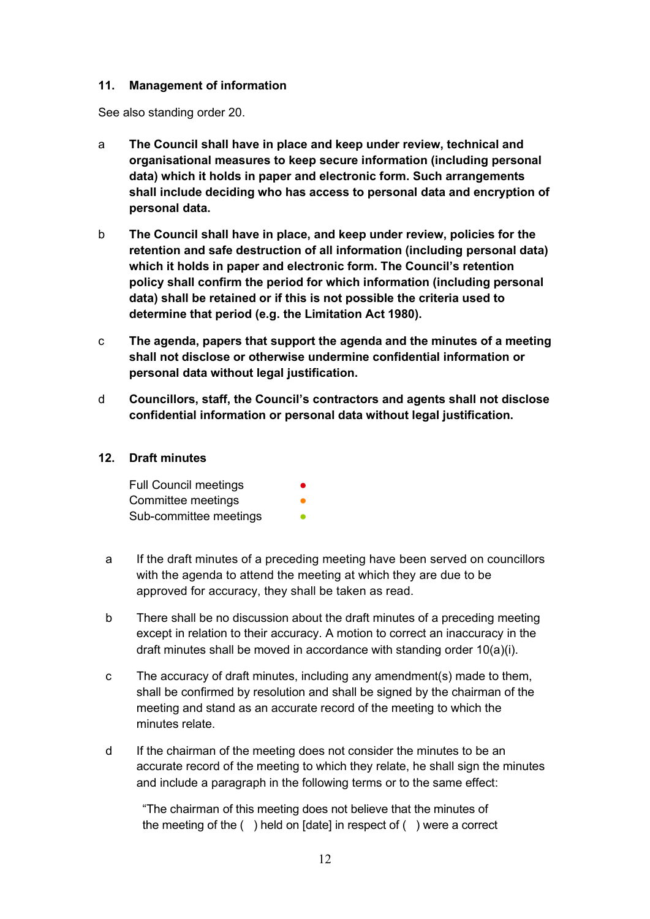#### <span id="page-11-0"></span>**11. Management of information**

See also standing order 20.

- a **The Council shall have in place and keep under review, technical and organisational measures to keep secure information (including personal data) which it holds in paper and electronic form. Such arrangements shall include deciding who has access to personal data and encryption of personal data.**
- b **The Council shall have in place, and keep under review, policies for the retention and safe destruction of all information (including personal data) which it holds in paper and electronic form. The Council's retention policy shall confirm the period for which information (including personal data) shall be retained or if this is not possible the criteria used to determine that period (e.g. the Limitation Act 1980).**
- c **The agenda, papers that support the agenda and the minutes of a meeting shall not disclose or otherwise undermine confidential information or personal data without legal justification.**
- d **Councillors, staff, the Council's contractors and agents shall not disclose confidential information or personal data without legal justification.**

#### <span id="page-11-1"></span>**12. Draft minutes**

| <b>Full Council meetings</b> | $\bullet$ |
|------------------------------|-----------|
| Committee meetings           | ●         |
| Sub-committee meetings       |           |

- a If the draft minutes of a preceding meeting have been served on councillors with the agenda to attend the meeting at which they are due to be approved for accuracy, they shall be taken as read.
- b There shall be no discussion about the draft minutes of a preceding meeting except in relation to their accuracy. A motion to correct an inaccuracy in the draft minutes shall be moved in accordance with standing order 10(a)(i).
- c The accuracy of draft minutes, including any amendment(s) made to them, shall be confirmed by resolution and shall be signed by the chairman of the meeting and stand as an accurate record of the meeting to which the minutes relate.
- d If the chairman of the meeting does not consider the minutes to be an accurate record of the meeting to which they relate, he shall sign the minutes and include a paragraph in the following terms or to the same effect:

"The chairman of this meeting does not believe that the minutes of the meeting of the ( ) held on [date] in respect of ( ) were a correct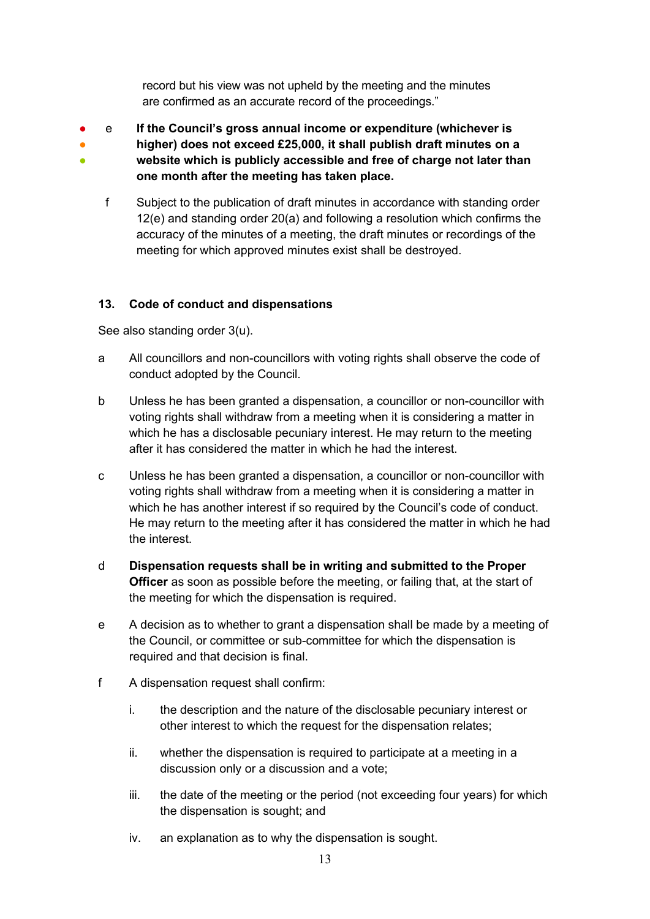record but his view was not upheld by the meeting and the minutes are confirmed as an accurate record of the proceedings."

- ● ● e **If the Council's gross annual income or expenditure (whichever is higher) does not exceed £25,000, it shall publish draft minutes on a website which is publicly accessible and free of charge not later than one month after the meeting has taken place.**
	- f Subject to the publication of draft minutes in accordance with standing order 12(e) and standing order 20(a) and following a resolution which confirms the accuracy of the minutes of a meeting, the draft minutes or recordings of the meeting for which approved minutes exist shall be destroyed.

## <span id="page-12-0"></span>**13. Code of conduct and dispensations**

See also standing order 3(u).

- a All councillors and non-councillors with voting rights shall observe the code of conduct adopted by the Council.
- b Unless he has been granted a dispensation, a councillor or non-councillor with voting rights shall withdraw from a meeting when it is considering a matter in which he has a disclosable pecuniary interest. He may return to the meeting after it has considered the matter in which he had the interest.
- c Unless he has been granted a dispensation, a councillor or non-councillor with voting rights shall withdraw from a meeting when it is considering a matter in which he has another interest if so required by the Council's code of conduct. He may return to the meeting after it has considered the matter in which he had the interest.
- d **Dispensation requests shall be in writing and submitted to the Proper Officer** as soon as possible before the meeting, or failing that, at the start of the meeting for which the dispensation is required.
- e A decision as to whether to grant a dispensation shall be made by a meeting of the Council, or committee or sub-committee for which the dispensation is required and that decision is final.
- f A dispensation request shall confirm:
	- i. the description and the nature of the disclosable pecuniary interest or other interest to which the request for the dispensation relates;
	- ii. whether the dispensation is required to participate at a meeting in a discussion only or a discussion and a vote;
	- iii. the date of the meeting or the period (not exceeding four years) for which the dispensation is sought; and
	- iv. an explanation as to why the dispensation is sought.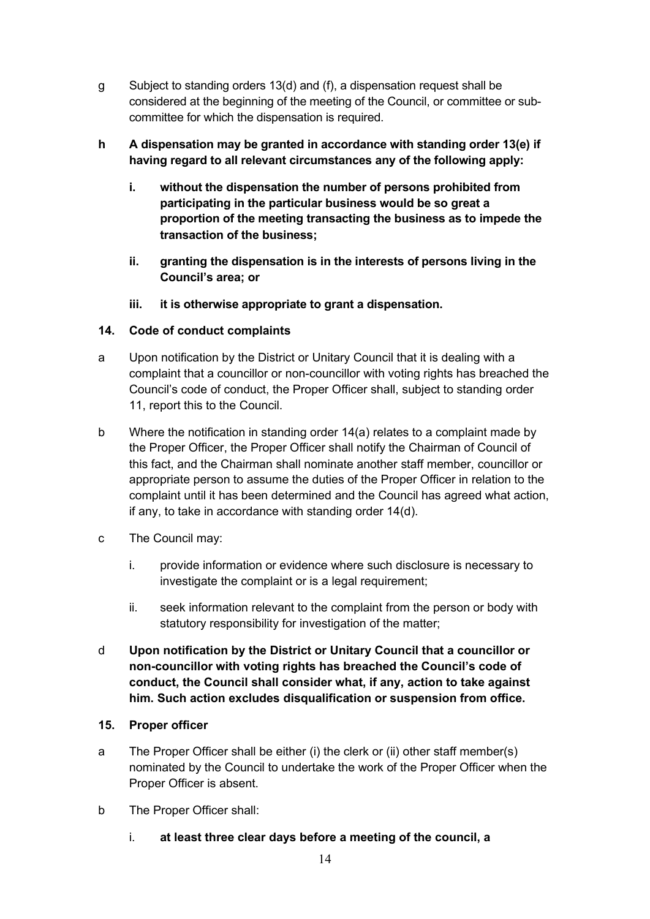- g Subject to standing orders 13(d) and (f), a dispensation request shall be considered at the beginning of the meeting of the Council, or committee or subcommittee for which the dispensation is required.
- **h A dispensation may be granted in accordance with standing order 13(e) if having regard to all relevant circumstances any of the following apply:**
	- **i. without the dispensation the number of persons prohibited from participating in the particular business would be so great a proportion of the meeting transacting the business as to impede the transaction of the business;**
	- **ii. granting the dispensation is in the interests of persons living in the Council's area; or**
	- **iii. it is otherwise appropriate to grant a dispensation.**

### <span id="page-13-0"></span>**14. Code of conduct complaints**

- a Upon notification by the District or Unitary Council that it is dealing with a complaint that a councillor or non-councillor with voting rights has breached the Council's code of conduct, the Proper Officer shall, subject to standing order 11, report this to the Council.
- b Where the notification in standing order 14(a) relates to a complaint made by the Proper Officer, the Proper Officer shall notify the Chairman of Council of this fact, and the Chairman shall nominate another staff member, councillor or appropriate person to assume the duties of the Proper Officer in relation to the complaint until it has been determined and the Council has agreed what action, if any, to take in accordance with standing order 14(d).
- c The Council may:
	- i. provide information or evidence where such disclosure is necessary to investigate the complaint or is a legal requirement;
	- ii. seek information relevant to the complaint from the person or body with statutory responsibility for investigation of the matter;
- d **Upon notification by the District or Unitary Council that a councillor or non-councillor with voting rights has breached the Council's code of conduct, the Council shall consider what, if any, action to take against him. Such action excludes disqualification or suspension from office.**

## <span id="page-13-1"></span>**15. Proper officer**

- a The Proper Officer shall be either (i) the clerk or (ii) other staff member(s) nominated by the Council to undertake the work of the Proper Officer when the Proper Officer is absent.
- b The Proper Officer shall:
	- i. **at least three clear days before a meeting of the council, a**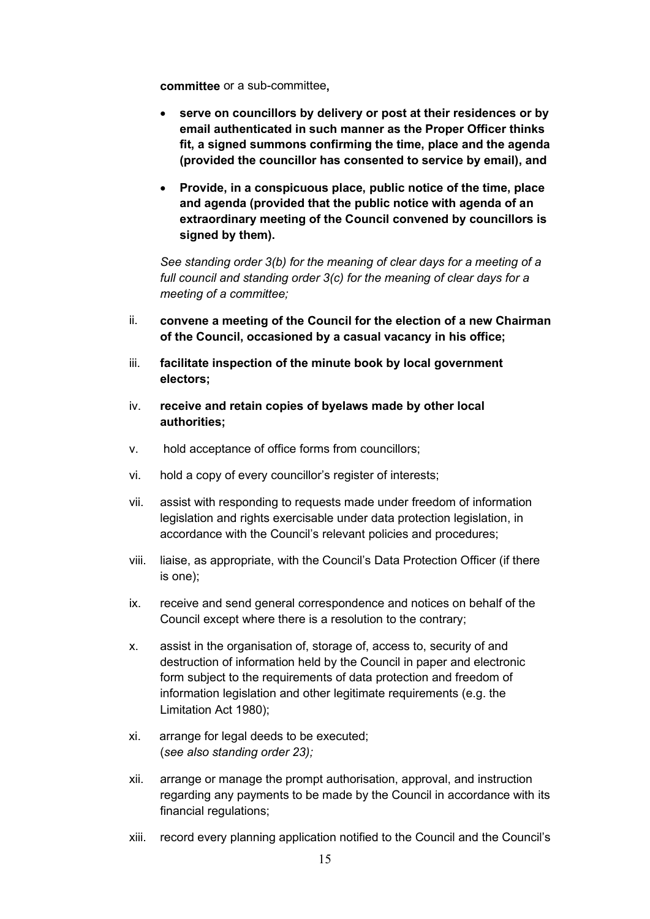**committee** or a sub-committee**,**

- **serve on councillors by delivery or post at their residences or by email authenticated in such manner as the Proper Officer thinks fit, a signed summons confirming the time, place and the agenda (provided the councillor has consented to service by email), and**
- **Provide, in a conspicuous place, public notice of the time, place and agenda (provided that the public notice with agenda of an extraordinary meeting of the Council convened by councillors is signed by them).**

*See standing order 3(b) for the meaning of clear days for a meeting of a full council and standing order 3(c) for the meaning of clear days for a meeting of a committee;*

- ii. **convene a meeting of the Council for the election of a new Chairman of the Council, occasioned by a casual vacancy in his office;**
- iii. **facilitate inspection of the minute book by local government electors;**
- iv. **receive and retain copies of byelaws made by other local authorities;**
- v. hold acceptance of office forms from councillors;
- vi. hold a copy of every councillor's register of interests;
- vii. assist with responding to requests made under freedom of information legislation and rights exercisable under data protection legislation, in accordance with the Council's relevant policies and procedures;
- viii. liaise, as appropriate, with the Council's Data Protection Officer (if there is one);
- ix. receive and send general correspondence and notices on behalf of the Council except where there is a resolution to the contrary;
- x. assist in the organisation of, storage of, access to, security of and destruction of information held by the Council in paper and electronic form subject to the requirements of data protection and freedom of information legislation and other legitimate requirements (e.g. the Limitation Act 1980);
- xi. arrange for legal deeds to be executed; (*see also standing order 23);*
- xii. arrange or manage the prompt authorisation, approval, and instruction regarding any payments to be made by the Council in accordance with its financial regulations;
- xiii. record every planning application notified to the Council and the Council's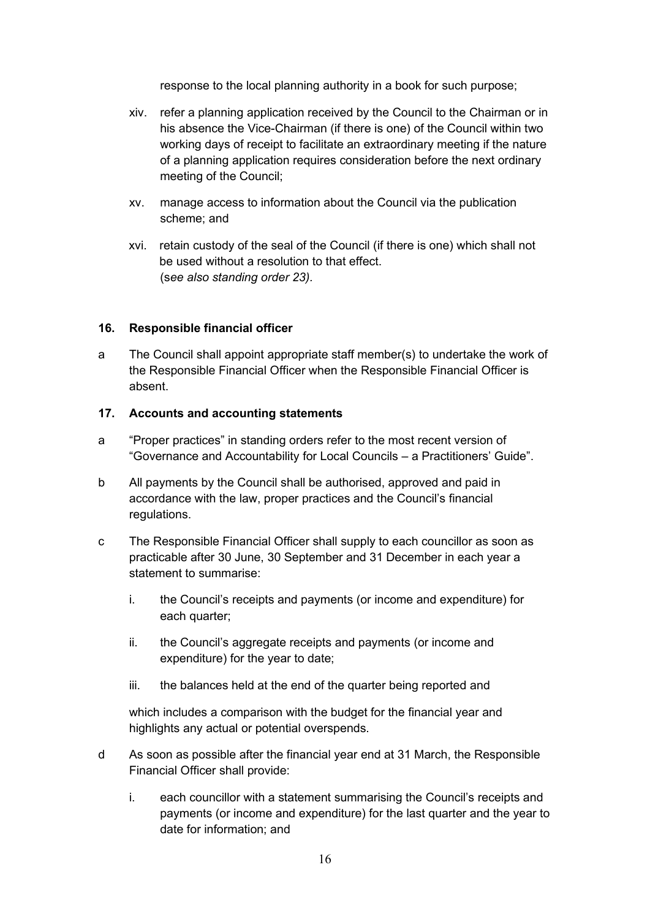response to the local planning authority in a book for such purpose;

- xiv. refer a planning application received by the Council to the Chairman or in his absence the Vice-Chairman (if there is one) of the Council within two working days of receipt to facilitate an extraordinary meeting if the nature of a planning application requires consideration before the next ordinary meeting of the Council;
- xv. manage access to information about the Council via the publication scheme; and
- xvi. retain custody of the seal of the Council (if there is one) which shall not be used without a resolution to that effect. (s*ee also standing order 23).*

#### <span id="page-15-0"></span>**16. Responsible financial officer**

a The Council shall appoint appropriate staff member(s) to undertake the work of the Responsible Financial Officer when the Responsible Financial Officer is absent.

#### <span id="page-15-1"></span>**17. Accounts and accounting statements**

- a "Proper practices" in standing orders refer to the most recent version of "Governance and Accountability for Local Councils – a Practitioners' Guide".
- b All payments by the Council shall be authorised, approved and paid in accordance with the law, proper practices and the Council's financial regulations.
- c The Responsible Financial Officer shall supply to each councillor as soon as practicable after 30 June, 30 September and 31 December in each year a statement to summarise:
	- i. the Council's receipts and payments (or income and expenditure) for each quarter;
	- ii. the Council's aggregate receipts and payments (or income and expenditure) for the year to date;
	- iii. the balances held at the end of the quarter being reported and

which includes a comparison with the budget for the financial year and highlights any actual or potential overspends.

- d As soon as possible after the financial year end at 31 March, the Responsible Financial Officer shall provide:
	- i. each councillor with a statement summarising the Council's receipts and payments (or income and expenditure) for the last quarter and the year to date for information; and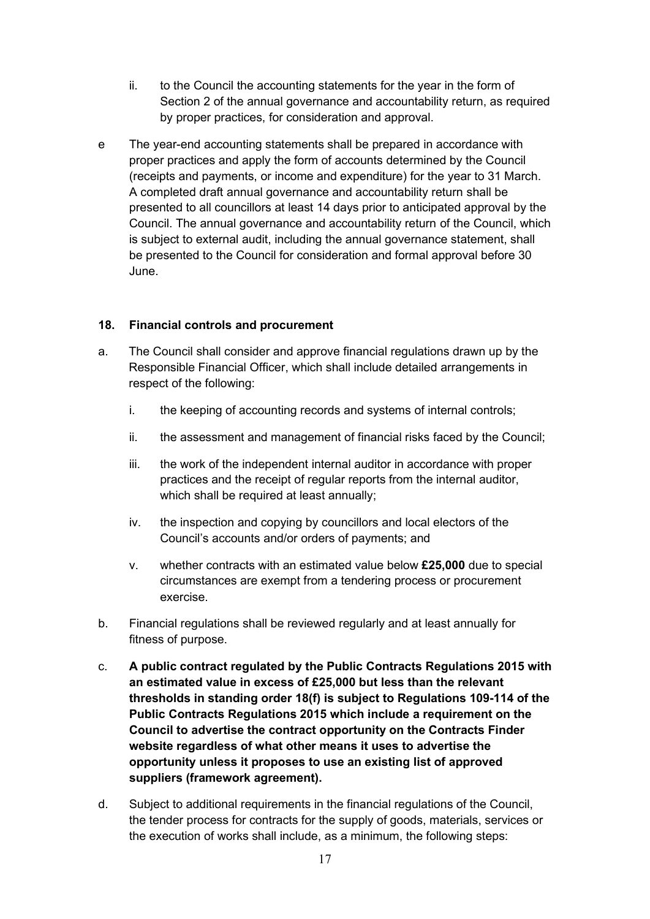- ii. to the Council the accounting statements for the year in the form of Section 2 of the annual governance and accountability return, as required by proper practices, for consideration and approval.
- e The year-end accounting statements shall be prepared in accordance with proper practices and apply the form of accounts determined by the Council (receipts and payments, or income and expenditure) for the year to 31 March. A completed draft annual governance and accountability return shall be presented to all councillors at least 14 days prior to anticipated approval by the Council. The annual governance and accountability return of the Council, which is subject to external audit, including the annual governance statement, shall be presented to the Council for consideration and formal approval before 30 June.

### <span id="page-16-0"></span>**18. Financial controls and procurement**

- a. The Council shall consider and approve financial regulations drawn up by the Responsible Financial Officer, which shall include detailed arrangements in respect of the following:
	- i. the keeping of accounting records and systems of internal controls;
	- ii. the assessment and management of financial risks faced by the Council;
	- iii. the work of the independent internal auditor in accordance with proper practices and the receipt of regular reports from the internal auditor, which shall be required at least annually;
	- iv. the inspection and copying by councillors and local electors of the Council's accounts and/or orders of payments; and
	- v. whether contracts with an estimated value below **£25,000** due to special circumstances are exempt from a tendering process or procurement exercise.
- b. Financial regulations shall be reviewed regularly and at least annually for fitness of purpose.
- c. **A public contract regulated by the Public Contracts Regulations 2015 with an estimated value in excess of £25,000 but less than the relevant thresholds in standing order 18(f) is subject to Regulations 109-114 of the Public Contracts Regulations 2015 which include a requirement on the Council to advertise the contract opportunity on the Contracts Finder website regardless of what other means it uses to advertise the opportunity unless it proposes to use an existing list of approved suppliers (framework agreement).**
- d. Subject to additional requirements in the financial regulations of the Council, the tender process for contracts for the supply of goods, materials, services or the execution of works shall include, as a minimum, the following steps: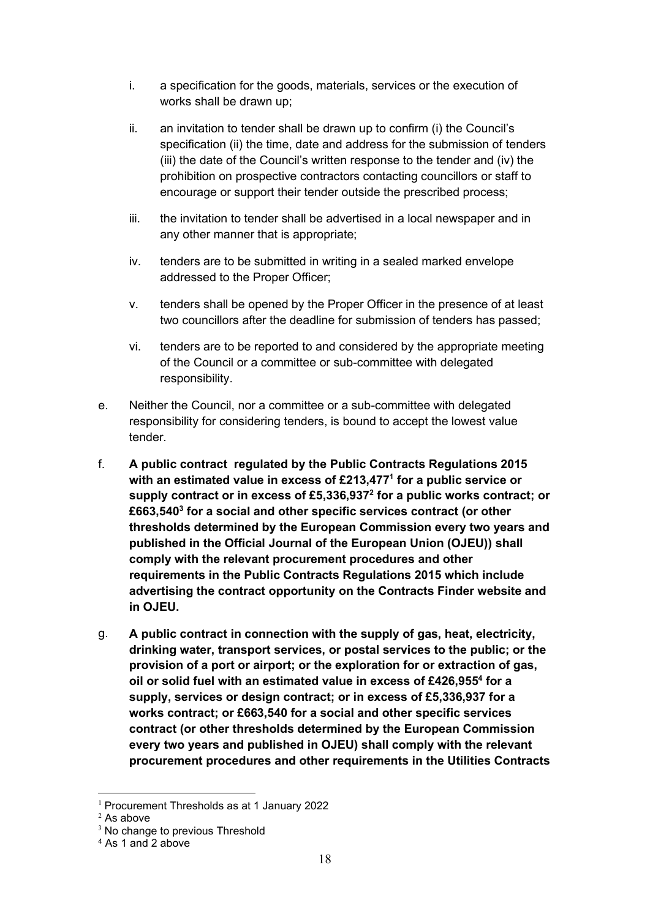- i. a specification for the goods, materials, services or the execution of works shall be drawn up;
- ii. an invitation to tender shall be drawn up to confirm (i) the Council's specification (ii) the time, date and address for the submission of tenders (iii) the date of the Council's written response to the tender and (iv) the prohibition on prospective contractors contacting councillors or staff to encourage or support their tender outside the prescribed process;
- iii. the invitation to tender shall be advertised in a local newspaper and in any other manner that is appropriate;
- iv. tenders are to be submitted in writing in a sealed marked envelope addressed to the Proper Officer;
- v. tenders shall be opened by the Proper Officer in the presence of at least two councillors after the deadline for submission of tenders has passed;
- vi. tenders are to be reported to and considered by the appropriate meeting of the Council or a committee or sub-committee with delegated responsibility.
- e. Neither the Council, nor a committee or a sub-committee with delegated responsibility for considering tenders, is bound to accept the lowest value tender.
- f. **A public contract regulated by the Public Contracts Regulations 2015 with an estimated value in excess of £213,477<sup>1</sup> for a public service or supply contract or in excess of £5,336,937<sup>2</sup> for a public works contract; or £663,540<sup>3</sup> for a social and other specific services contract (or other thresholds determined by the European Commission every two years and published in the Official Journal of the European Union (OJEU)) shall comply with the relevant procurement procedures and other requirements in the Public Contracts Regulations 2015 which include advertising the contract opportunity on the Contracts Finder website and in OJEU.**
- g. **A public contract in connection with the supply of gas, heat, electricity, drinking water, transport services, or postal services to the public; or the provision of a port or airport; or the exploration for or extraction of gas, oil or solid fuel with an estimated value in excess of £426,955<sup>4</sup> for a supply, services or design contract; or in excess of £5,336,937 for a works contract; or £663,540 for a social and other specific services contract (or other thresholds determined by the European Commission every two years and published in OJEU) shall comply with the relevant procurement procedures and other requirements in the Utilities Contracts**

<sup>1</sup> Procurement Thresholds as at 1 January 2022

 $2$  As above

<sup>&</sup>lt;sup>3</sup> No change to previous Threshold

<sup>4</sup> As 1 and 2 above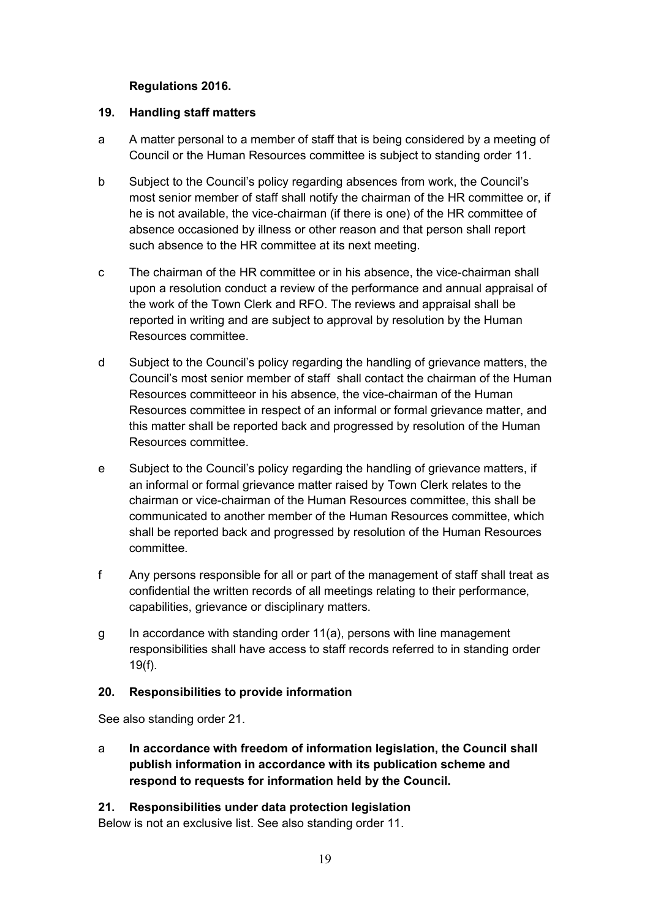### **Regulations 2016.**

#### <span id="page-18-0"></span>**19. Handling staff matters**

- a A matter personal to a member of staff that is being considered by a meeting of Council or the Human Resources committee is subject to standing order 11.
- b Subject to the Council's policy regarding absences from work, the Council's most senior member of staff shall notify the chairman of the HR committee or, if he is not available, the vice-chairman (if there is one) of the HR committee of absence occasioned by illness or other reason and that person shall report such absence to the HR committee at its next meeting.
- c The chairman of the HR committee or in his absence, the vice-chairman shall upon a resolution conduct a review of the performance and annual appraisal of the work of the Town Clerk and RFO. The reviews and appraisal shall be reported in writing and are subject to approval by resolution by the Human Resources committee.
- d Subject to the Council's policy regarding the handling of grievance matters, the Council's most senior member of staff shall contact the chairman of the Human Resources committeeor in his absence, the vice-chairman of the Human Resources committee in respect of an informal or formal grievance matter, and this matter shall be reported back and progressed by resolution of the Human Resources committee.
- e Subject to the Council's policy regarding the handling of grievance matters, if an informal or formal grievance matter raised by Town Clerk relates to the chairman or vice-chairman of the Human Resources committee, this shall be communicated to another member of the Human Resources committee, which shall be reported back and progressed by resolution of the Human Resources committee.
- f Any persons responsible for all or part of the management of staff shall treat as confidential the written records of all meetings relating to their performance, capabilities, grievance or disciplinary matters.
- g In accordance with standing order 11(a), persons with line management responsibilities shall have access to staff records referred to in standing order 19(f).

## <span id="page-18-1"></span>**20. Responsibilities to provide information**

See also standing order 21.

a **In accordance with freedom of information legislation, the Council shall publish information in accordance with its publication scheme and respond to requests for information held by the Council.**

## <span id="page-18-2"></span>**21. Responsibilities under data protection legislation**

Below is not an exclusive list. See also standing order 11.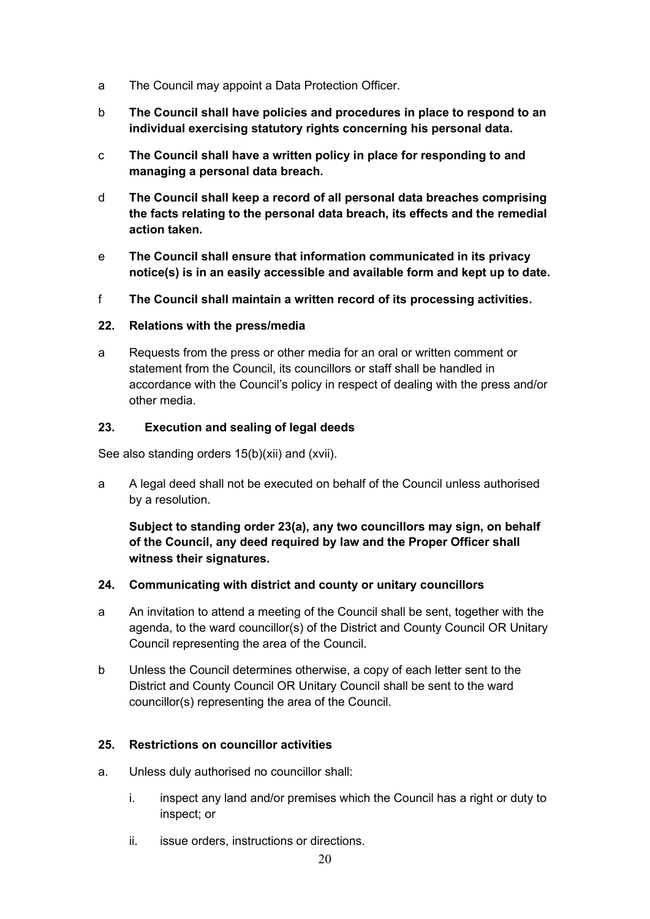- a The Council may appoint a Data Protection Officer.
- b **The Council shall have policies and procedures in place to respond to an individual exercising statutory rights concerning his personal data.**
- c **The Council shall have a written policy in place for responding to and managing a personal data breach.**
- d **The Council shall keep a record of all personal data breaches comprising the facts relating to the personal data breach, its effects and the remedial action taken.**
- e **The Council shall ensure that information communicated in its privacy notice(s) is in an easily accessible and available form and kept up to date.**
- f **The Council shall maintain a written record of its processing activities.**

### <span id="page-19-0"></span>**22. Relations with the press/media**

a Requests from the press or other media for an oral or written comment or statement from the Council, its councillors or staff shall be handled in accordance with the Council's policy in respect of dealing with the press and/or other media.

#### <span id="page-19-1"></span>**23. Execution and sealing of legal deeds**

See also standing orders 15(b)(xii) and (xvii).

a A legal deed shall not be executed on behalf of the Council unless authorised by a resolution.

**Subject to standing order 23(a), any two councillors may sign, on behalf of the Council, any deed required by law and the Proper Officer shall witness their signatures.** 

#### <span id="page-19-2"></span>**24. Communicating with district and county or unitary councillors**

- a An invitation to attend a meeting of the Council shall be sent, together with the agenda, to the ward councillor(s) of the District and County Council OR Unitary Council representing the area of the Council.
- b Unless the Council determines otherwise, a copy of each letter sent to the District and County Council OR Unitary Council shall be sent to the ward councillor(s) representing the area of the Council.

## <span id="page-19-3"></span>**25. Restrictions on councillor activities**

- a. Unless duly authorised no councillor shall:
	- i. inspect any land and/or premises which the Council has a right or duty to inspect; or
	- ii. issue orders, instructions or directions.